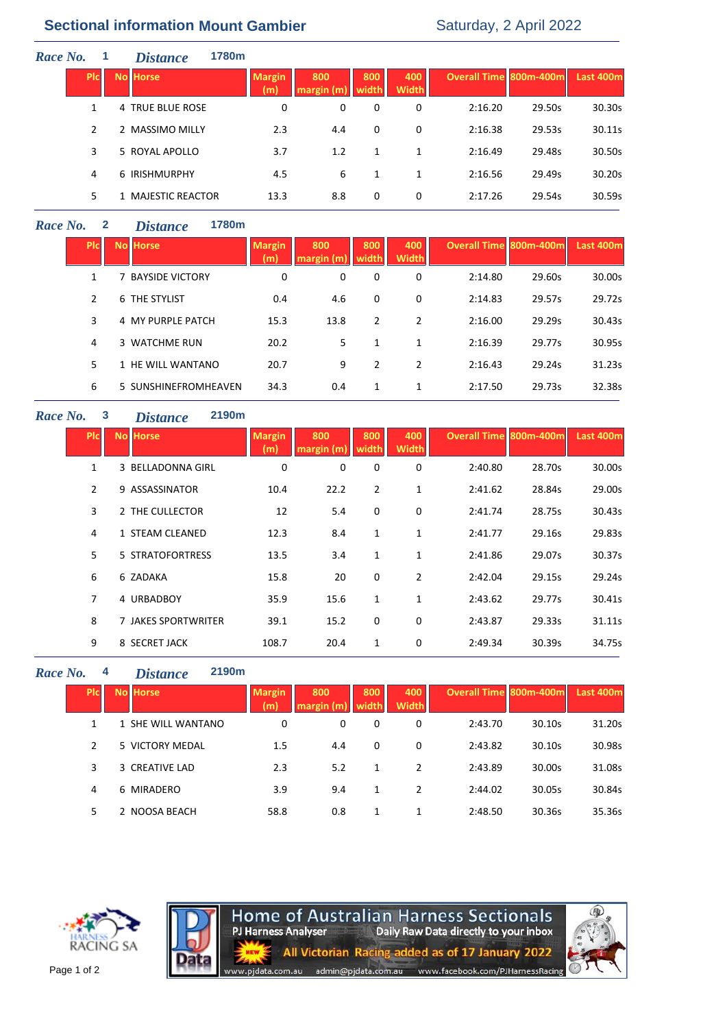# **Sectional information Mount Gambier** Saturday, 2 April 2022

| Race No.   |  | <b>Distance</b>    | 1780m |                      |                   |              |                     |                               |        |           |
|------------|--|--------------------|-------|----------------------|-------------------|--------------|---------------------|-------------------------------|--------|-----------|
| <b>PIC</b> |  | <b>No Horse</b>    |       | <b>Margin</b><br>(m) | 800<br>margin (m) | 800<br>width | 400<br><b>Width</b> | <b>Overall Time 800m-400m</b> |        | Last 400m |
|            |  | 4 TRUE BLUE ROSE   |       | 0                    | 0                 | 0            | 0                   | 2:16.20                       | 29.50s | 30.30s    |
| 2          |  | 2 MASSIMO MILLY    |       | 2.3                  | 4.4               | 0            | 0                   | 2:16.38                       | 29.53s | 30.11s    |
| 3          |  | 5 ROYAL APOLLO     |       | 3.7                  | 1.2               | 1            | 1                   | 2:16.49                       | 29.48s | 30.50s    |
| 4          |  | 6 IRISHMURPHY      |       | 4.5                  | 6                 | 1            | 1                   | 2:16.56                       | 29.49s | 30.20s    |
| 5          |  | 1 MAJESTIC REACTOR |       | 13.3                 | 8.8               | 0            | 0                   | 2:17.26                       | 29.54s | 30.59s    |

## *Race No.* **2** *Distance* **1780m**

| <b>PIC</b>    | <b>No Horse</b>        | <b>Margin</b><br>(m) | 800<br>margin (m' | 800<br>width | 400<br><b>Width</b> | Overall Time 800m-400m |        | Last 400m |
|---------------|------------------------|----------------------|-------------------|--------------|---------------------|------------------------|--------|-----------|
| 1             | <b>BAYSIDE VICTORY</b> | 0                    | 0                 | 0            | 0                   | 2:14.80                | 29.60s | 30.00s    |
| $\mathcal{P}$ | 6 THE STYLIST          | 0.4                  | 4.6               | 0            | 0                   | 2:14.83                | 29.57s | 29.72s    |
| 3             | 4 MY PURPLE PATCH      | 15.3                 | 13.8              | 2            | 2                   | 2:16.00                | 29.29s | 30.43s    |
| 4             | 3 WATCHME RUN          | 20.2                 | 5                 | 1            | 1                   | 2:16.39                | 29.77s | 30.95s    |
| .5.           | 1 HE WILL WANTANO      | 20.7                 | 9                 | 2            | 2                   | 2:16.43                | 29.24s | 31.23s    |
| 6             | 5 SUNSHINEFROMHEAVEN   | 34.3                 | 0.4               | 1            | 1                   | 2:17.50                | 29.73s | 32.38s    |

#### *Race No.* **3** *Distance* **2190m**

| <b>PIC</b>     | <b>No Horse</b>     | <b>Margin</b><br>(m) | 800<br>margin (m | 800<br>widtl | 400<br><b>Width</b> | <b>Overall Time 800m-400m</b> |        | Last 400m |
|----------------|---------------------|----------------------|------------------|--------------|---------------------|-------------------------------|--------|-----------|
| 1              | 3 BELLADONNA GIRL   | 0                    | $\mathbf 0$      | 0            | 0                   | 2:40.80                       | 28.70s | 30.00s    |
| $\overline{2}$ | 9 ASSASSINATOR      | 10.4                 | 22.2             | 2            | $\mathbf{1}$        | 2:41.62                       | 28.84s | 29.00s    |
| 3              | 2 THE CULLECTOR     | 12                   | 5.4              | 0            | 0                   | 2:41.74                       | 28.75s | 30.43s    |
| 4              | 1 STEAM CLEANED     | 12.3                 | 8.4              | 1            | 1                   | 2:41.77                       | 29.16s | 29.83s    |
| 5.             | 5 STRATOFORTRESS    | 13.5                 | 3.4              | 1            | 1                   | 2:41.86                       | 29.07s | 30.37s    |
| 6              | 6 ZADAKA            | 15.8                 | 20               | 0            | $\overline{2}$      | 2:42.04                       | 29.15s | 29.24s    |
| 7              | 4 URBADBOY          | 35.9                 | 15.6             | 1            | 1                   | 2:43.62                       | 29.77s | 30.41s    |
| 8              | 7 JAKES SPORTWRITER | 39.1                 | 15.2             | 0            | 0                   | 2:43.87                       | 29.33s | 31.11s    |
| 9              | 8 SECRET JACK       | 108.7                | 20.4             | 1            | 0                   | 2:49.34                       | 30.39s | 34.75s    |
|                |                     |                      |                  |              |                     |                               |        |           |

### *Race No.* **4** *Distance* **2190m**

| <b>PIC</b>     | No Horse           | <b>Margin</b><br>(m) | 800 | 800<br>width | 400<br>Width | Overall Time 800m-400m |        | Last 400m |
|----------------|--------------------|----------------------|-----|--------------|--------------|------------------------|--------|-----------|
|                | 1 SHE WILL WANTANO | 0                    | 0   | 0            | 0            | 2:43.70                | 30.10s | 31.20s    |
| $\overline{2}$ | 5 VICTORY MEDAL    | 1.5                  | 4.4 | $\Omega$     | 0            | 2:43.82                | 30.10s | 30.98s    |
| 3              | 3 CREATIVE LAD     | 2.3                  | 5.2 |              | 2            | 2:43.89                | 30.00s | 31.08s    |
| 4              | 6 MIRADERO         | 3.9                  | 9.4 |              | 2            | 2:44.02                | 30.05s | 30.84s    |
| 5              | NOOSA BEACH        | 58.8                 | 0.8 |              | 1            | 2:48.50                | 30.36s | 35.36s    |

**Home of Australian Harness Sectionals**